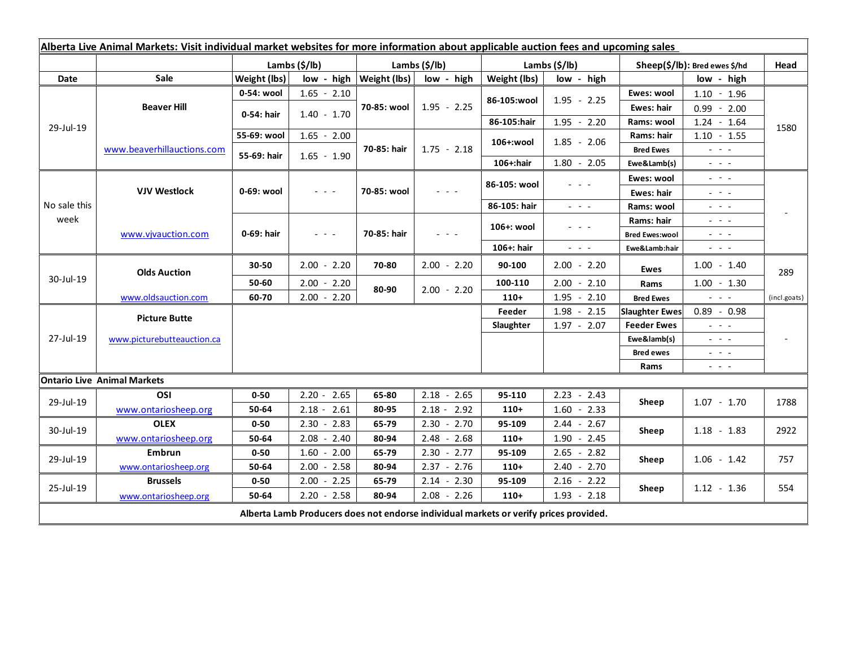| Alberta Live Animal Markets: Visit individual market websites for more information about applicable auction fees and upcoming sales |                            |               |                                                                                                                           |                           |               |               |                                                                                                                           |                               |                                                                                                                           |              |
|-------------------------------------------------------------------------------------------------------------------------------------|----------------------------|---------------|---------------------------------------------------------------------------------------------------------------------------|---------------------------|---------------|---------------|---------------------------------------------------------------------------------------------------------------------------|-------------------------------|---------------------------------------------------------------------------------------------------------------------------|--------------|
|                                                                                                                                     |                            | Lambs (\$/lb) |                                                                                                                           | Lambs (\$/lb)             |               | Lambs (\$/lb) |                                                                                                                           | Sheep(\$/lb): Bred ewes \$/hd |                                                                                                                           | Head         |
| Date                                                                                                                                | Sale                       | Weight (lbs)  |                                                                                                                           | low - high   Weight (lbs) | low - high    | Weight (lbs)  | low - high                                                                                                                |                               | low - high                                                                                                                |              |
| 29-Jul-19                                                                                                                           | <b>Beaver Hill</b>         | 0-54: wool    | $1.65 - 2.10$                                                                                                             | 70-85: wool               | $1.95 - 2.25$ | 86-105:wool   | $1.95 - 2.25$                                                                                                             | Ewes: wool                    | $1.10 - 1.96$                                                                                                             |              |
|                                                                                                                                     |                            | 0-54: hair    | $1.40 - 1.70$                                                                                                             |                           |               |               |                                                                                                                           | Ewes: hair                    | $0.99 - 2.00$                                                                                                             |              |
|                                                                                                                                     |                            |               |                                                                                                                           |                           |               | 86-105:hair   | $1.95 - 2.20$                                                                                                             | Rams: wool                    | $1.24 - 1.64$                                                                                                             | 1580         |
|                                                                                                                                     | www.beaverhillauctions.com | 55-69: wool   | $1.65 - 2.00$                                                                                                             | 70-85: hair               | $1.75 - 2.18$ | 106+:wool     | $1.85 - 2.06$                                                                                                             | Rams: hair                    | $1.10 - 1.55$                                                                                                             |              |
|                                                                                                                                     |                            | 55-69: hair   | $1.65 - 1.90$                                                                                                             |                           |               |               |                                                                                                                           | <b>Bred Ewes</b>              | $\omega_{\rm{eff}}$ and $\omega_{\rm{eff}}$                                                                               |              |
|                                                                                                                                     |                            |               |                                                                                                                           |                           |               | 106+:hair     | $1.80 - 2.05$                                                                                                             | Ewe&Lamb(s)                   | $\omega_{\rm{c}}$ , $\omega_{\rm{c}}$ , $\omega_{\rm{c}}$                                                                 |              |
| No sale this<br>week                                                                                                                | <b>VJV Westlock</b>        | 0-69: wool    | $\frac{1}{2} \left( \frac{1}{2} \right) \left( \frac{1}{2} \right) \left( \frac{1}{2} \right) \left( \frac{1}{2} \right)$ | 70-85: wool               | - - -         | 86-105: wool  | $\frac{1}{2} \left( \frac{1}{2} \right) \left( \frac{1}{2} \right) \left( \frac{1}{2} \right) \left( \frac{1}{2} \right)$ | Ewes: wool                    | $\frac{1}{2} \left( \frac{1}{2} \right) \frac{1}{2} \left( \frac{1}{2} \right) \frac{1}{2} \left( \frac{1}{2} \right)$    |              |
|                                                                                                                                     |                            |               |                                                                                                                           |                           |               |               |                                                                                                                           | <b>Ewes: hair</b>             | $\frac{1}{2} \left( \frac{1}{2} \right) \frac{1}{2} \left( \frac{1}{2} \right) \frac{1}{2} \left( \frac{1}{2} \right)$    |              |
|                                                                                                                                     |                            |               |                                                                                                                           |                           |               | 86-105: hair  | $\frac{1}{2} \left( \frac{1}{2} \right) = \frac{1}{2} \left( \frac{1}{2} \right) = \frac{1}{2}$                           | Rams: wool                    | $  -$                                                                                                                     |              |
|                                                                                                                                     | www.vivauction.com         | 0-69: hair    | $  -$                                                                                                                     | 70-85: hair               | $  -$         | 106+: wool    | - - -                                                                                                                     | Rams: hair                    | 20 A G                                                                                                                    |              |
|                                                                                                                                     |                            |               |                                                                                                                           |                           |               |               |                                                                                                                           | <b>Bred Ewes:wool</b>         | $  -$                                                                                                                     |              |
|                                                                                                                                     |                            |               |                                                                                                                           |                           |               | 106+: hair    | $\omega_{\rm{eff}}$ and $\omega_{\rm{eff}}$                                                                               | Ewe&Lamb:hair                 | $\omega_{\rm{c}}$ , $\omega_{\rm{c}}$ , $\omega_{\rm{c}}$                                                                 |              |
| 30-Jul-19                                                                                                                           | <b>Olds Auction</b>        | 30-50         | $2.00 - 2.20$                                                                                                             | 70-80                     | $2.00 - 2.20$ | 90-100        | $2.00 - 2.20$                                                                                                             | Ewes                          | $1.00 - 1.40$                                                                                                             | 289          |
|                                                                                                                                     |                            | 50-60         | $2.00 - 2.20$                                                                                                             | 80-90                     | $2.00 - 2.20$ | 100-110       | $2.00 - 2.10$                                                                                                             | Rams                          | $1.00 - 1.30$                                                                                                             |              |
|                                                                                                                                     | www.oldsauction.com        | 60-70         | $2.00 - 2.20$                                                                                                             |                           |               | $110+$        | $1.95 - 2.10$                                                                                                             | <b>Bred Ewes</b>              | $\frac{1}{2} \left( \frac{1}{2} \right) \left( \frac{1}{2} \right) \left( \frac{1}{2} \right) \left( \frac{1}{2} \right)$ | (incl.goats) |
| 27-Jul-19                                                                                                                           | <b>Picture Butte</b>       |               |                                                                                                                           |                           |               | Feeder        | $1.98 - 2.15$                                                                                                             | <b>Slaughter Ewes</b>         | $0.89 - 0.98$                                                                                                             |              |
|                                                                                                                                     | www.picturebutteauction.ca |               |                                                                                                                           |                           |               | Slaughter     | $1.97 - 2.07$                                                                                                             | <b>Feeder Ewes</b>            | $\omega_{\rm{eff}}$ and $\omega_{\rm{eff}}$                                                                               |              |
|                                                                                                                                     |                            |               |                                                                                                                           |                           |               |               |                                                                                                                           | Ewe&lamb(s)                   | $\omega_{\rm{eff}}$ and $\omega_{\rm{eff}}$                                                                               |              |
|                                                                                                                                     |                            |               |                                                                                                                           |                           |               |               |                                                                                                                           | <b>Bred ewes</b>              | $\omega_{\rm{eff}}$ and $\omega_{\rm{eff}}$                                                                               |              |
|                                                                                                                                     |                            |               |                                                                                                                           |                           |               |               |                                                                                                                           | Rams                          | $\frac{1}{2} \left( \frac{1}{2} \right) = \frac{1}{2} \left( \frac{1}{2} \right)$                                         |              |
| <b>Ontario Live Animal Markets</b>                                                                                                  |                            |               |                                                                                                                           |                           |               |               |                                                                                                                           |                               |                                                                                                                           |              |
| 29-Jul-19                                                                                                                           | OSI                        | $0 - 50$      | $2.20 - 2.65$                                                                                                             | 65-80                     | $2.18 - 2.65$ | 95-110        | $2.23 - 2.43$                                                                                                             | Sheep                         | $1.07 - 1.70$                                                                                                             | 1788         |
|                                                                                                                                     | www.ontariosheep.org       | 50-64         | $2.18 - 2.61$                                                                                                             | 80-95                     | $2.18 - 2.92$ | $110+$        | $1.60 - 2.33$                                                                                                             |                               |                                                                                                                           |              |
| 30-Jul-19                                                                                                                           | <b>OLEX</b>                | $0 - 50$      | $2.30 - 2.83$                                                                                                             | 65-79                     | $2.30 - 2.70$ | 95-109        | $2.44 - 2.67$                                                                                                             | Sheep                         | $1.18 - 1.83$                                                                                                             | 2922         |
|                                                                                                                                     | www.ontariosheep.org       | 50-64         | 2.40<br>$2.08 -$                                                                                                          | 80-94                     | $2.48 - 2.68$ | $110+$        | $1.90 - 2.45$                                                                                                             |                               |                                                                                                                           |              |
| 29-Jul-19                                                                                                                           | <b>Embrun</b>              | $0 - 50$      | $1.60 - 2.00$                                                                                                             | 65-79                     | $2.30 - 2.77$ | 95-109        | $2.65 - 2.82$                                                                                                             | Sheep                         | $1.06 - 1.42$                                                                                                             | 757          |
|                                                                                                                                     | www.ontariosheep.org       | 50-64         | $2.00 - 2.58$                                                                                                             | 80-94                     | $2.37 - 2.76$ | $110+$        | $2.40 - 2.70$                                                                                                             |                               |                                                                                                                           |              |
| 25-Jul-19                                                                                                                           | <b>Brussels</b>            | $0 - 50$      | $2.00 - 2.25$                                                                                                             | 65-79                     | $2.14 - 2.30$ | 95-109        | $2.16 - 2.22$                                                                                                             | Sheep                         | $1.12 - 1.36$                                                                                                             | 554          |
|                                                                                                                                     | www.ontariosheep.org       | 50-64         | $2.20 - 2.58$                                                                                                             | 80-94                     | $2.08 - 2.26$ | $110+$        | $1.93 - 2.18$                                                                                                             |                               |                                                                                                                           |              |
| Alberta Lamb Producers does not endorse individual markets or verify prices provided.                                               |                            |               |                                                                                                                           |                           |               |               |                                                                                                                           |                               |                                                                                                                           |              |